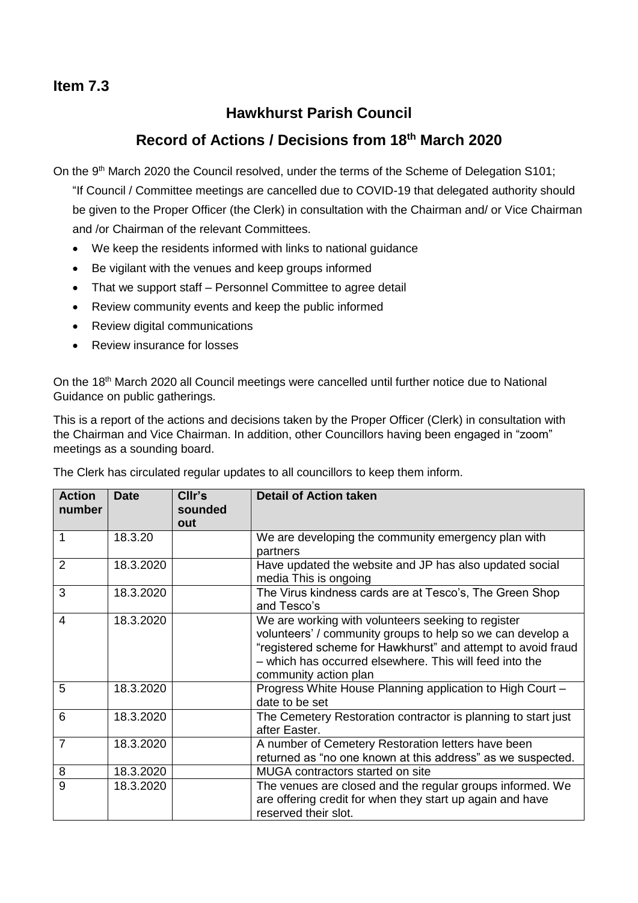## **Item 7.3**

## **Hawkhurst Parish Council**

## **Record of Actions / Decisions from 18th March 2020**

On the 9<sup>th</sup> March 2020 the Council resolved, under the terms of the Scheme of Delegation S101;

"If Council / Committee meetings are cancelled due to COVID-19 that delegated authority should be given to the Proper Officer (the Clerk) in consultation with the Chairman and/ or Vice Chairman and /or Chairman of the relevant Committees.

- We keep the residents informed with links to national guidance
- Be vigilant with the venues and keep groups informed
- That we support staff Personnel Committee to agree detail
- Review community events and keep the public informed
- Review digital communications
- Review insurance for losses

On the 18<sup>th</sup> March 2020 all Council meetings were cancelled until further notice due to National Guidance on public gatherings.

This is a report of the actions and decisions taken by the Proper Officer (Clerk) in consultation with the Chairman and Vice Chairman. In addition, other Councillors having been engaged in "zoom" meetings as a sounding board.

| <b>Action</b><br>number | <b>Date</b> | CIIr's<br>sounded<br>out | <b>Detail of Action taken</b>                                                                                                                                                                                                                                        |
|-------------------------|-------------|--------------------------|----------------------------------------------------------------------------------------------------------------------------------------------------------------------------------------------------------------------------------------------------------------------|
| 1                       | 18.3.20     |                          | We are developing the community emergency plan with<br>partners                                                                                                                                                                                                      |
| 2                       | 18.3.2020   |                          | Have updated the website and JP has also updated social<br>media This is ongoing                                                                                                                                                                                     |
| 3                       | 18.3.2020   |                          | The Virus kindness cards are at Tesco's, The Green Shop<br>and Tesco's                                                                                                                                                                                               |
| $\overline{4}$          | 18.3.2020   |                          | We are working with volunteers seeking to register<br>volunteers' / community groups to help so we can develop a<br>"registered scheme for Hawkhurst" and attempt to avoid fraud<br>- which has occurred elsewhere. This will feed into the<br>community action plan |
| 5                       | 18.3.2020   |                          | Progress White House Planning application to High Court -<br>date to be set                                                                                                                                                                                          |
| 6                       | 18.3.2020   |                          | The Cemetery Restoration contractor is planning to start just<br>after Easter.                                                                                                                                                                                       |
| $\overline{7}$          | 18.3.2020   |                          | A number of Cemetery Restoration letters have been<br>returned as "no one known at this address" as we suspected.                                                                                                                                                    |
| 8                       | 18.3.2020   |                          | MUGA contractors started on site                                                                                                                                                                                                                                     |
| 9                       | 18.3.2020   |                          | The venues are closed and the regular groups informed. We<br>are offering credit for when they start up again and have<br>reserved their slot.                                                                                                                       |

The Clerk has circulated regular updates to all councillors to keep them inform.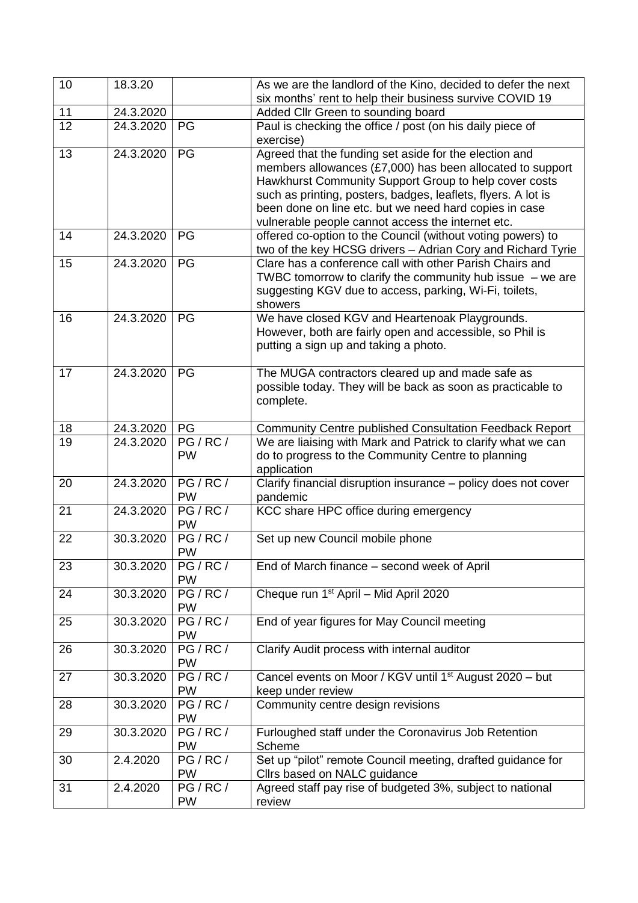| 10 | 18.3.20   |                     | As we are the landlord of the Kino, decided to defer the next<br>six months' rent to help their business survive COVID 19                                                                                                                                                                                                                                    |
|----|-----------|---------------------|--------------------------------------------------------------------------------------------------------------------------------------------------------------------------------------------------------------------------------------------------------------------------------------------------------------------------------------------------------------|
| 11 | 24.3.2020 |                     | Added Cllr Green to sounding board                                                                                                                                                                                                                                                                                                                           |
| 12 | 24.3.2020 | PG                  | Paul is checking the office / post (on his daily piece of<br>exercise)                                                                                                                                                                                                                                                                                       |
| 13 | 24.3.2020 | PG                  | Agreed that the funding set aside for the election and<br>members allowances (£7,000) has been allocated to support<br>Hawkhurst Community Support Group to help cover costs<br>such as printing, posters, badges, leaflets, flyers. A lot is<br>been done on line etc. but we need hard copies in case<br>vulnerable people cannot access the internet etc. |
| 14 | 24.3.2020 | PG                  | offered co-option to the Council (without voting powers) to<br>two of the key HCSG drivers - Adrian Cory and Richard Tyrie                                                                                                                                                                                                                                   |
| 15 | 24.3.2020 | PG                  | Clare has a conference call with other Parish Chairs and<br>TWBC tomorrow to clarify the community hub issue $-$ we are<br>suggesting KGV due to access, parking, Wi-Fi, toilets,<br>showers                                                                                                                                                                 |
| 16 | 24.3.2020 | PG                  | We have closed KGV and Heartenoak Playgrounds.<br>However, both are fairly open and accessible, so Phil is<br>putting a sign up and taking a photo.                                                                                                                                                                                                          |
| 17 | 24.3.2020 | PG                  | The MUGA contractors cleared up and made safe as<br>possible today. They will be back as soon as practicable to<br>complete.                                                                                                                                                                                                                                 |
| 18 | 24.3.2020 | PG                  | Community Centre published Consultation Feedback Report                                                                                                                                                                                                                                                                                                      |
| 19 | 24.3.2020 | PG/RC/<br><b>PW</b> | We are liaising with Mark and Patrick to clarify what we can<br>do to progress to the Community Centre to planning<br>application                                                                                                                                                                                                                            |
| 20 | 24.3.2020 | PG/RC/<br><b>PW</b> | Clarify financial disruption insurance - policy does not cover<br>pandemic                                                                                                                                                                                                                                                                                   |
| 21 | 24.3.2020 | PG/RC/<br><b>PW</b> | KCC share HPC office during emergency                                                                                                                                                                                                                                                                                                                        |
| 22 | 30.3.2020 | PG/RC/<br><b>PW</b> | Set up new Council mobile phone                                                                                                                                                                                                                                                                                                                              |
| 23 | 30.3.2020 | PG/RC/<br><b>PW</b> | End of March finance – second week of April                                                                                                                                                                                                                                                                                                                  |
| 24 | 30.3.2020 | PG/RC/<br><b>PW</b> | Cheque run 1 <sup>st</sup> April - Mid April 2020                                                                                                                                                                                                                                                                                                            |
| 25 | 30.3.2020 | PG/RC/<br><b>PW</b> | End of year figures for May Council meeting                                                                                                                                                                                                                                                                                                                  |
| 26 | 30.3.2020 | PG/RC/<br><b>PW</b> | Clarify Audit process with internal auditor                                                                                                                                                                                                                                                                                                                  |
| 27 | 30.3.2020 | PG/RC/<br>PW        | Cancel events on Moor / KGV until 1 <sup>st</sup> August 2020 - but<br>keep under review                                                                                                                                                                                                                                                                     |
| 28 | 30.3.2020 | PG/RC/<br><b>PW</b> | Community centre design revisions                                                                                                                                                                                                                                                                                                                            |
| 29 | 30.3.2020 | PG/RC/<br><b>PW</b> | Furloughed staff under the Coronavirus Job Retention<br>Scheme                                                                                                                                                                                                                                                                                               |
| 30 | 2.4.2020  | PG/RC/<br><b>PW</b> | Set up "pilot" remote Council meeting, drafted guidance for<br>Cllrs based on NALC guidance                                                                                                                                                                                                                                                                  |
| 31 | 2.4.2020  | PG/RC/<br>PW        | Agreed staff pay rise of budgeted 3%, subject to national<br>review                                                                                                                                                                                                                                                                                          |